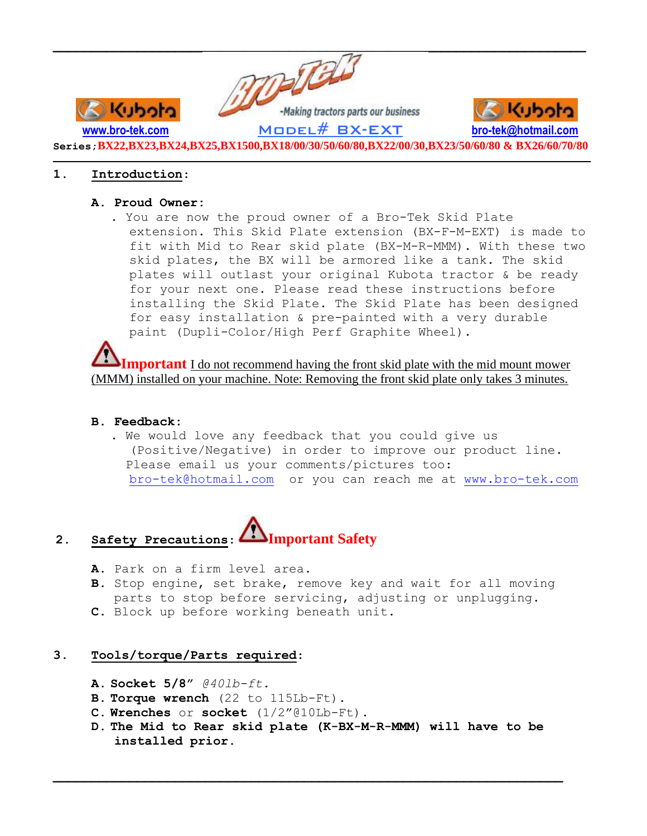

**Series;BX22,BX23,BX24,BX25,BX1500,BX18/00/30/50/60/80,BX22/00/30,BX23/50/60/80 & BX26/60/70/80**  $\mathcal{L} = \{ \mathcal{L} \mathcal{L} \mathcal{L} \mathcal{L} \mathcal{L} \mathcal{L} \mathcal{L} \mathcal{L} \mathcal{L} \mathcal{L} \mathcal{L} \mathcal{L} \mathcal{L} \mathcal{L} \mathcal{L} \mathcal{L} \mathcal{L} \mathcal{L} \mathcal{L} \mathcal{L} \mathcal{L} \mathcal{L} \mathcal{L} \mathcal{L} \mathcal{L} \mathcal{L} \mathcal{L} \mathcal{L} \mathcal{L} \mathcal{L} \mathcal{L} \mathcal{L} \mathcal{L} \mathcal{L} \mathcal{L} \$ 

## **1. Introduction**:

## **A. Proud Owner:**

. You are now the proud owner of a Bro-Tek Skid Plate extension. This Skid Plate extension (BX-F-M-EXT) is made to fit with Mid to Rear skid plate (BX-M-R-MMM). With these two skid plates, the BX will be armored like a tank. The skid plates will outlast your original Kubota tractor & be ready for your next one. Please read these instructions before installing the Skid Plate. The Skid Plate has been designed for easy installation & pre-painted with a very durable paint (Dupli-Color/High Perf Graphite Wheel).

**Important** I do not recommend having the front skid plate with the mid mount mower (MMM) installed on your machine. Note: Removing the front skid plate only takes 3 minutes.

## **B. Feedback:**

. We would love any feedback that you could give us (Positive/Negative) in order to improve our product line. Please email us your comments/pictures too: [bro-tek@hotmail.com](mailto:bro-tek@hotmail.com) or you can reach me at [www.bro-tek.com](http://www.bro-tek.com/)

# **2. Safety Precautions**: **Important Safety**

- **A.** Park on a firm level area.
- **B.** Stop engine, set brake, remove key and wait for all moving parts to stop before servicing, adjusting or unplugging.
- **C.** Block up before working beneath unit.

## **3. Tools/torque/Parts required**:

- **A. Socket 5/8"** *@40lb-ft.*
- **B. Torque wrench** (22 to 115Lb-Ft).
- **C. Wrenches** or **socket** (1/2"@10Lb-Ft).
- **D. The Mid to Rear skid plate (K-BX-M-R-MMM) will have to be installed prior.**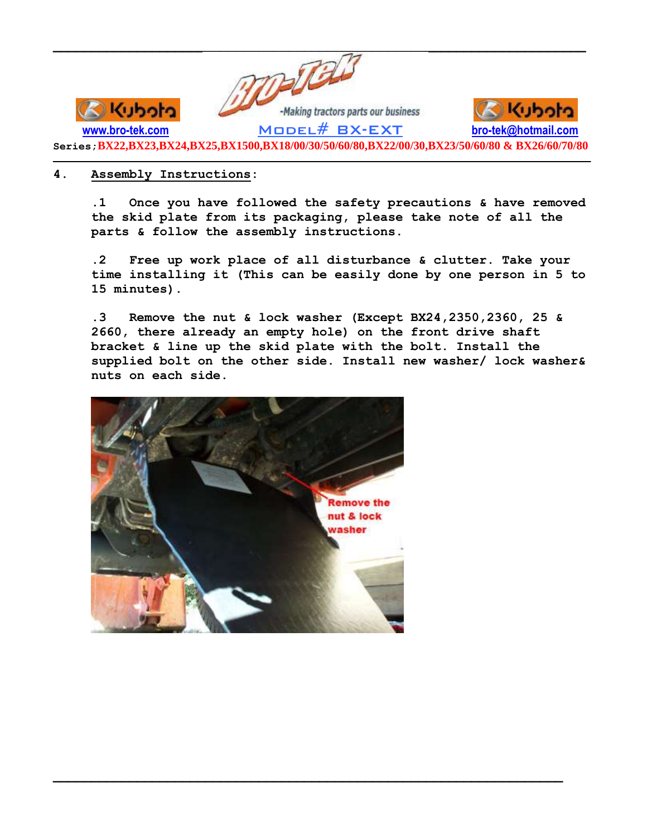

**Series;BX22,BX23,BX24,BX25,BX1500,BX18/00/30/50/60/80,BX22/00/30,BX23/50/60/80 & BX26/60/70/80**  $\mathcal{L} = \{ \mathcal{L} \mathcal{L} \mathcal{L} \mathcal{L} \mathcal{L} \mathcal{L} \mathcal{L} \mathcal{L} \mathcal{L} \mathcal{L} \mathcal{L} \mathcal{L} \mathcal{L} \mathcal{L} \mathcal{L} \mathcal{L} \mathcal{L} \mathcal{L} \mathcal{L} \mathcal{L} \mathcal{L} \mathcal{L} \mathcal{L} \mathcal{L} \mathcal{L} \mathcal{L} \mathcal{L} \mathcal{L} \mathcal{L} \mathcal{L} \mathcal{L} \mathcal{L} \mathcal{L} \mathcal{L} \mathcal{L} \$ 

## **4. Assembly Instructions:**

**.1 Once you have followed the safety precautions & have removed the skid plate from its packaging, please take note of all the parts & follow the assembly instructions.**

**.2 Free up work place of all disturbance & clutter. Take your time installing it (This can be easily done by one person in 5 to 15 minutes).**

**.3 Remove the nut & lock washer (Except BX24,2350,2360, 25 & 2660, there already an empty hole) on the front drive shaft bracket & line up the skid plate with the bolt. Install the supplied bolt on the other side. Install new washer/ lock washer& nuts on each side.**

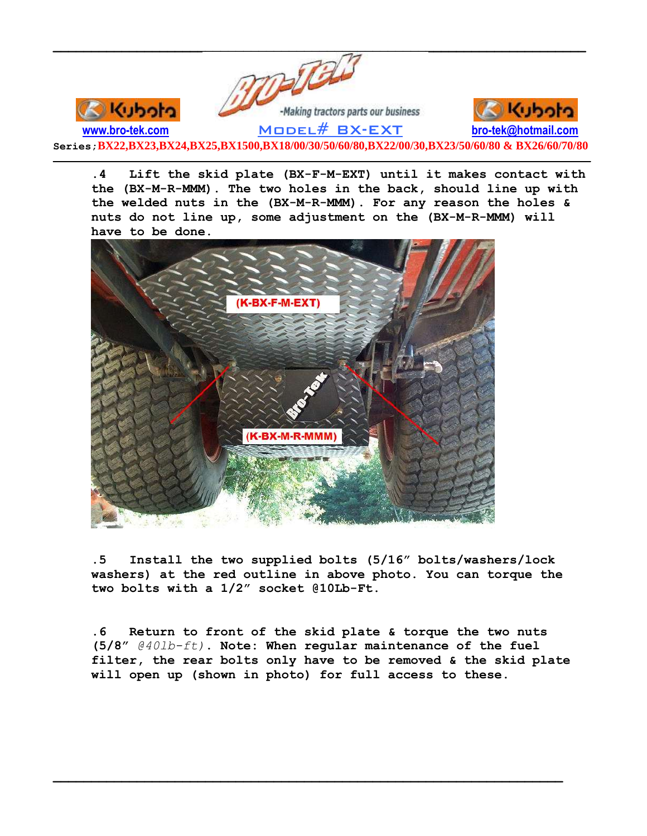

**.4 Lift the skid plate (BX-F-M-EXT) until it makes contact with the (BX-M-R-MMM). The two holes in the back, should line up with the welded nuts in the (BX-M-R-MMM). For any reason the holes & nuts do not line up, some adjustment on the (BX-M-R-MMM) will have to be done.**



**.5 Install the two supplied bolts (5/16" bolts/washers/lock washers) at the red outline in above photo. You can torque the two bolts with a 1/2" socket @10Lb-Ft.**

**.6 Return to front of the skid plate & torque the two nuts (5/8"** *@40lb-ft)***. Note: When regular maintenance of the fuel filter, the rear bolts only have to be removed & the skid plate will open up (shown in photo) for full access to these.**